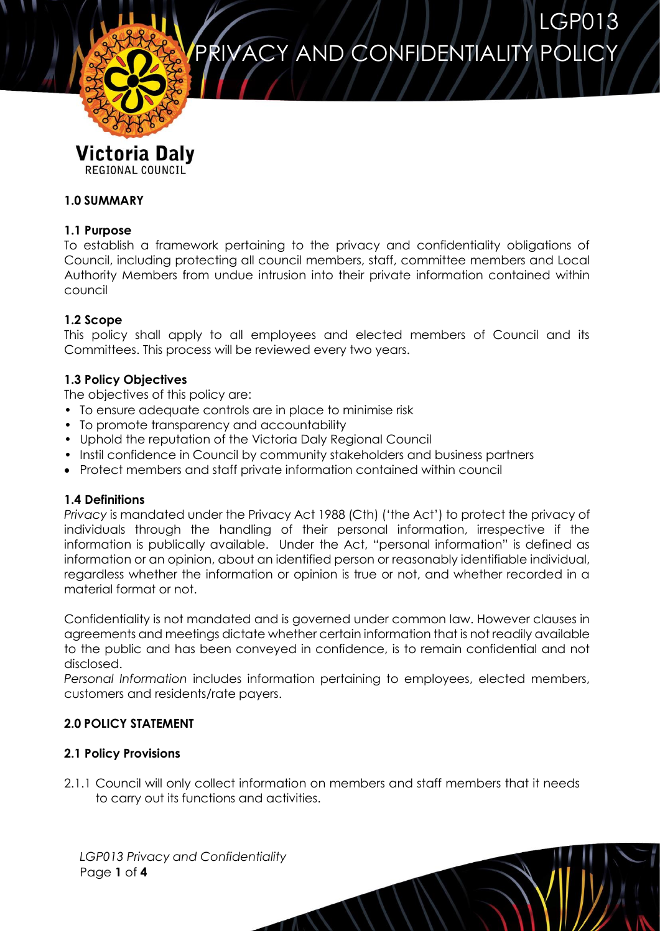LGP013 PRIVACY AND CONFIDENTIALITY POLICY



# Victoria Daly REGIONAL COUNCIL

# **1.0 SUMMARY**

## **1.1 Purpose**

To establish a framework pertaining to the privacy and confidentiality obligations of Council, including protecting all council members, staff, committee members and Local Authority Members from undue intrusion into their private information contained within council

### **1.2 Scope**

This policy shall apply to all employees and elected members of Council and its Committees. This process will be reviewed every two years.

### **1.3 Policy Objectives**

The objectives of this policy are:

- To ensure adequate controls are in place to minimise risk
- To promote transparency and accountability
- Uphold the reputation of the Victoria Daly Regional Council
- Instil confidence in Council by community stakeholders and business partners
- Protect members and staff private information contained within council

### **1.4 Definitions**

*Privacy* is mandated under the Privacy Act 1988 (Cth) ('the Act') to protect the privacy of individuals through the handling of their personal information, irrespective if the information is publically available. Under the Act, "personal information" is defined as information or an opinion, about an identified person or reasonably identifiable individual, regardless whether the information or opinion is true or not, and whether recorded in a material format or not.

Confidentiality is not mandated and is governed under common law. However clauses in agreements and meetings dictate whether certain information that is not readily available to the public and has been conveyed in confidence, is to remain confidential and not disclosed.

*Personal Information* includes information pertaining to employees, elected members, customers and residents/rate payers.

# **2.0 POLICY STATEMENT**

# **2.1 Policy Provisions**

2.1.1 Council will only collect information on members and staff members that it needs to carry out its functions and activities.

*LGP013 Privacy and Confidentiality* Page **1** of **4**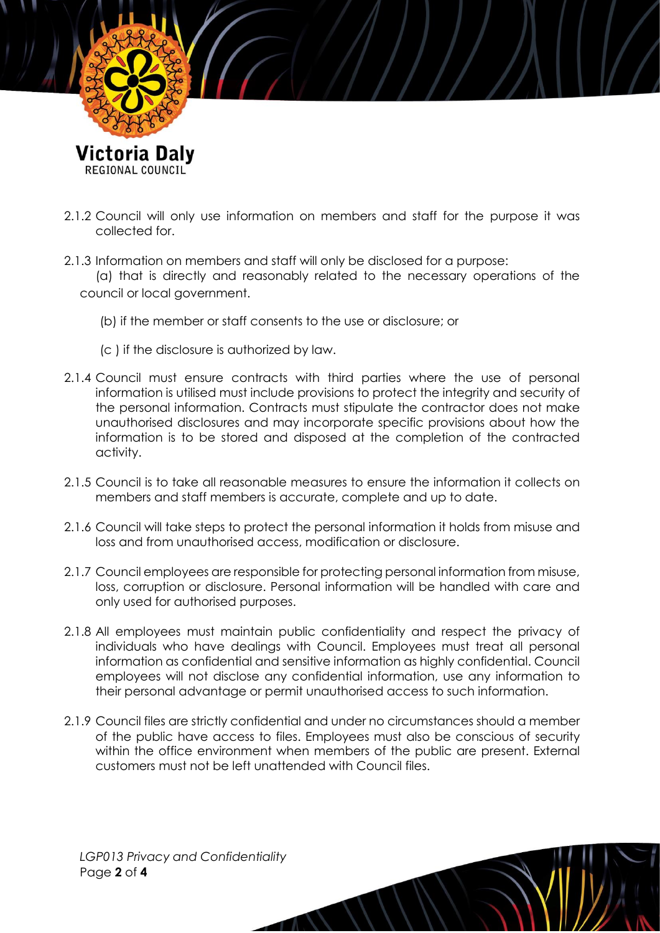

- 2.1.2 Council will only use information on members and staff for the purpose it was collected for.
- 2.1.3 Information on members and staff will only be disclosed for a purpose:

(a) that is directly and reasonably related to the necessary operations of the council or local government.

- (b) if the member or staff consents to the use or disclosure; or
- (c ) if the disclosure is authorized by law.
- 2.1.4 Council must ensure contracts with third parties where the use of personal information is utilised must include provisions to protect the integrity and security of the personal information. Contracts must stipulate the contractor does not make unauthorised disclosures and may incorporate specific provisions about how the information is to be stored and disposed at the completion of the contracted activity.
- 2.1.5 Council is to take all reasonable measures to ensure the information it collects on members and staff members is accurate, complete and up to date.
- 2.1.6 Council will take steps to protect the personal information it holds from misuse and loss and from unauthorised access, modification or disclosure.
- 2.1.7 Council employees are responsible for protecting personal information from misuse, loss, corruption or disclosure. Personal information will be handled with care and only used for authorised purposes.
- 2.1.8 All employees must maintain public confidentiality and respect the privacy of individuals who have dealings with Council. Employees must treat all personal information as confidential and sensitive information as highly confidential. Council employees will not disclose any confidential information, use any information to their personal advantage or permit unauthorised access to such information.
- 2.1.9 Council files are strictly confidential and under no circumstances should a member of the public have access to files. Employees must also be conscious of security within the office environment when members of the public are present. External customers must not be left unattended with Council files.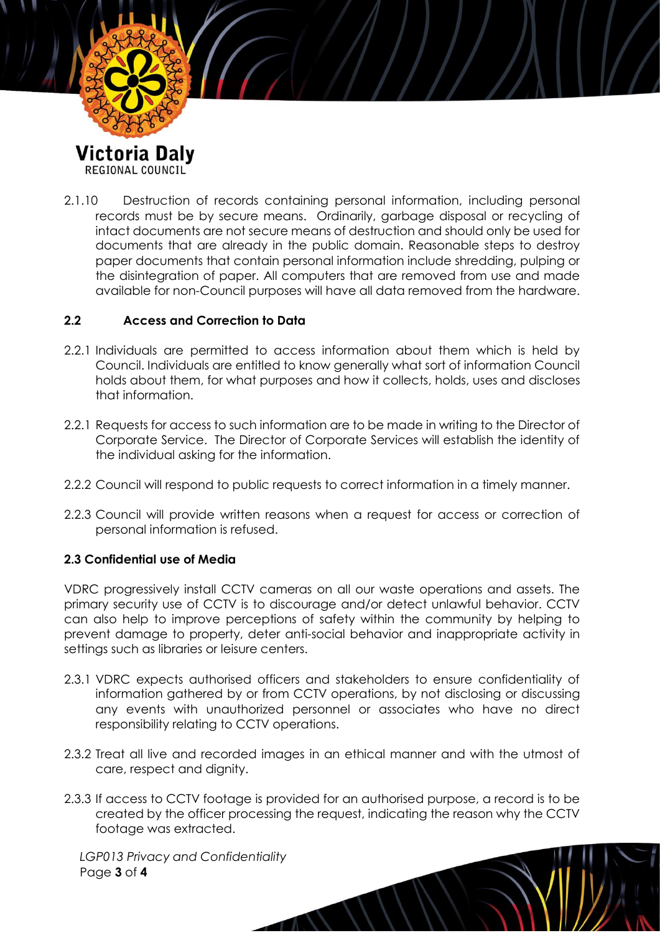

2.1.10 Destruction of records containing personal information, including personal records must be by secure means. Ordinarily, garbage disposal or recycling of intact documents are not secure means of destruction and should only be used for documents that are already in the public domain. Reasonable steps to destroy paper documents that contain personal information include shredding, pulping or the disintegration of paper. All computers that are removed from use and made available for non-Council purposes will have all data removed from the hardware.

#### **2.2 Access and Correction to Data**

- 2.2.1 Individuals are permitted to access information about them which is held by Council. Individuals are entitled to know generally what sort of information Council holds about them, for what purposes and how it collects, holds, uses and discloses that information.
- 2.2.1 Requests for access to such information are to be made in writing to the Director of Corporate Service. The Director of Corporate Services will establish the identity of the individual asking for the information.
- 2.2.2 Council will respond to public requests to correct information in a timely manner.
- 2.2.3 Council will provide written reasons when a request for access or correction of personal information is refused.

### **2.3 Confidential use of Media**

VDRC progressively install CCTV cameras on all our waste operations and assets. The primary security use of CCTV is to discourage and/or detect unlawful behavior. CCTV can also help to improve perceptions of safety within the community by helping to prevent damage to property, deter anti-social behavior and inappropriate activity in settings such as libraries or leisure centers.

- 2.3.1 VDRC expects authorised officers and stakeholders to ensure confidentiality of information gathered by or from CCTV operations, by not disclosing or discussing any events with unauthorized personnel or associates who have no direct responsibility relating to CCTV operations.
- 2.3.2 Treat all live and recorded images in an ethical manner and with the utmost of care, respect and dignity.
- 2.3.3 If access to CCTV footage is provided for an authorised purpose, a record is to be created by the officer processing the request, indicating the reason why the CCTV footage was extracted.

*LGP013 Privacy and Confidentiality* Page **3** of **4**